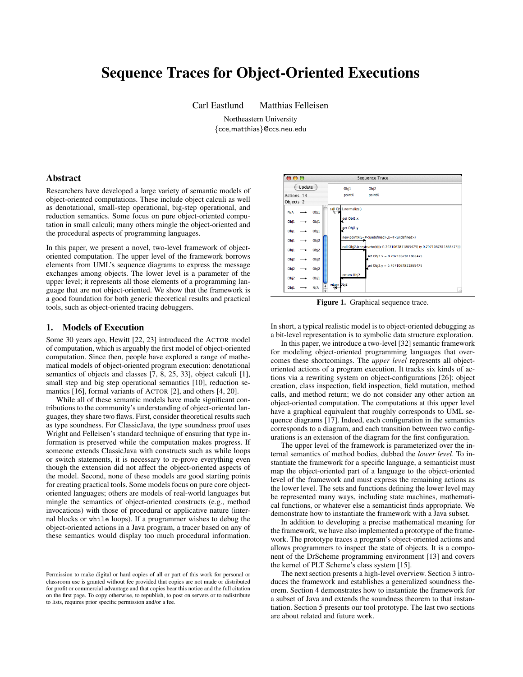# Sequence Traces for Object-Oriented Executions

Carl Eastlund Matthias Felleisen

Northeastern University {cce,matthias}@ccs.neu.edu

## Abstract

Researchers have developed a large variety of semantic models of object-oriented computations. These include object calculi as well as denotational, small-step operational, big-step operational, and reduction semantics. Some focus on pure object-oriented computation in small calculi; many others mingle the object-oriented and the procedural aspects of programming languages.

In this paper, we present a novel, two-level framework of objectoriented computation. The upper level of the framework borrows elements from UML's sequence diagrams to express the message exchanges among objects. The lower level is a parameter of the upper level; it represents all those elements of a programming language that are not object-oriented. We show that the framework is a good foundation for both generic theoretical results and practical tools, such as object-oriented tracing debuggers.

## 1. Models of Execution

Some 30 years ago, Hewitt [22, 23] introduced the ACTOR model of computation, which is arguably the first model of object-oriented computation. Since then, people have explored a range of mathematical models of object-oriented program execution: denotational semantics of objects and classes [7, 8, 25, 33], object calculi [1], small step and big step operational semantics [10], reduction semantics [16], formal variants of ACTOR [2], and others [4, 20].

While all of these semantic models have made significant contributions to the community's understanding of object-oriented languages, they share two flaws. First, consider theoretical results such as type soundness. For ClassicJava, the type soundness proof uses Wright and Felleisen's standard technique of ensuring that type information is preserved while the computation makes progress. If someone extends ClassicJava with constructs such as while loops or switch statements, it is necessary to re-prove everything even though the extension did not affect the object-oriented aspects of the model. Second, none of these models are good starting points for creating practical tools. Some models focus on pure core objectoriented languages; others are models of real-world languages but mingle the semantics of object-oriented constructs (e.g., method invocations) with those of procedural or applicative nature (internal blocks or while loops). If a programmer wishes to debug the object-oriented actions in a Java program, a tracer based on any of these semantics would display too much procedural information.



Figure 1. Graphical sequence trace.

In short, a typical realistic model is to object-oriented debugging as a bit-level representation is to symbolic data structure exploration.

In this paper, we introduce a two-level [32] semantic framework for modeling object-oriented programming languages that overcomes these shortcomings. The *upper level* represents all objectoriented actions of a program execution. It tracks six kinds of actions via a rewriting system on object-configurations [26]: object creation, class inspection, field inspection, field mutation, method calls, and method return; we do not consider any other action an object-oriented computation. The computations at this upper level have a graphical equivalent that roughly corresponds to UML sequence diagrams [17]. Indeed, each configuration in the semantics corresponds to a diagram, and each transition between two configurations is an extension of the diagram for the first configuration.

The upper level of the framework is parameterized over the internal semantics of method bodies, dubbed the *lower level*. To instantiate the framework for a specific language, a semanticist must map the object-oriented part of a language to the object-oriented level of the framework and must express the remaining actions as the lower level. The sets and functions defining the lower level may be represented many ways, including state machines, mathematical functions, or whatever else a semanticist finds appropriate. We demonstrate how to instantiate the framework with a Java subset.

In addition to developing a precise mathematical meaning for the framework, we have also implemented a prototype of the framework. The prototype traces a program's object-oriented actions and allows programmers to inspect the state of objects. It is a component of the DrScheme programming environment [13] and covers the kernel of PLT Scheme's class system [15].

The next section presents a high-level overview. Section 3 introduces the framework and establishes a generalized soundness theorem. Section 4 demonstrates how to instantiate the framework for a subset of Java and extends the soundness theorem to that instantiation. Section 5 presents our tool prototype. The last two sections are about related and future work.

Permission to make digital or hard copies of all or part of this work for personal or classroom use is granted without fee provided that copies are not made or distributed for profit or commercial advantage and that copies bear this notice and the full citation on the first page. To copy otherwise, to republish, to post on servers or to redistribute to lists, requires prior specific permission and/or a fee.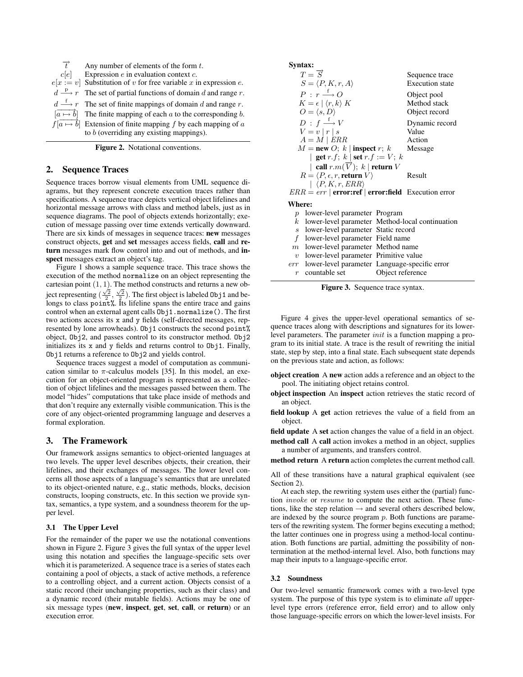| $\overrightarrow{f}$ | Any number of elements of the form $t$ .                                                         |
|----------------------|--------------------------------------------------------------------------------------------------|
| c[e]                 | Expression $e$ in evaluation context $c$ .                                                       |
|                      | $e[x := v]$ Substitution of v for free variable x in expression e.                               |
|                      | $d \stackrel{\text{p}}{\longrightarrow} r$ The set of partial functions of domain d and range r. |
|                      | $d \stackrel{f}{\longrightarrow} r$ The set of finite mappings of domain d and range r.          |
|                      | $\left[\overline{a \mapsto b}\right]$ The finite mapping of each a to the corresponding b.       |
|                      | $f[a \mapsto b]$ Extension of finite mapping f by each mapping of a                              |
|                      | to $b$ (overriding any existing mappings).                                                       |

Figure 2. Notational conventions.

## 2. Sequence Traces

Sequence traces borrow visual elements from UML sequence diagrams, but they represent concrete execution traces rather than specifications. A sequence trace depicts vertical object lifelines and horizontal message arrows with class and method labels, just as in sequence diagrams. The pool of objects extends horizontally; execution of message passing over time extends vertically downward. There are six kinds of messages in sequence traces: new messages construct objects, get and set messages access fields, call and return messages mark flow control into and out of methods, and inspect messages extract an object's tag.

Figure 1 shows a sample sequence trace. This trace shows the execution of the method normalize on an object representing the cartesian point  $(1, 1)$ . The method constructs and returns a new object representing  $(\frac{\sqrt{2}}{2}, \frac{\sqrt{2}}{2})$ . The first object is labeled 0bj1 and belongs to class point%. Its lifeline spans the entire trace and gains control when an external agent calls Obj1.normalize(). The first two actions access its x and y fields (self-directed messages, represented by lone arrowheads). Obj1 constructs the second point% object, Obj2, and passes control to its constructor method. Obj2 initializes its x and y fields and returns control to Obj1. Finally, Obj1 returns a reference to Obj2 and yields control.

Sequence traces suggest a model of computation as communication similar to  $\pi$ -calculus models [35]. In this model, an execution for an object-oriented program is represented as a collection of object lifelines and the messages passed between them. The model "hides" computations that take place inside of methods and that don't require any externally visible communication. This is the core of any object-oriented programming language and deserves a formal exploration.

## 3. The Framework

Our framework assigns semantics to object-oriented languages at two levels. The upper level describes objects, their creation, their lifelines, and their exchanges of messages. The lower level concerns all those aspects of a language's semantics that are unrelated to its object-oriented nature, e.g., static methods, blocks, decision constructs, looping constructs, etc. In this section we provide syntax, semantics, a type system, and a soundness theorem for the upper level.

## 3.1 The Upper Level

For the remainder of the paper we use the notational conventions shown in Figure 2. Figure 3 gives the full syntax of the upper level using this notation and specifies the language-specific sets over which it is parameterized. A sequence trace is a series of states each containing a pool of objects, a stack of active methods, a reference to a controlling object, and a current action. Objects consist of a static record (their unchanging properties, such as their class) and a dynamic record (their mutable fields). Actions may be one of six message types (new, inspect, get, set, call, or return) or an execution error.

Syntax:

|                   | $T = \overrightarrow{S}$<br>$S = \langle P, K, r, A \rangle$                                         |                  | Sequence trace<br><b>Execution</b> state     |
|-------------------|------------------------------------------------------------------------------------------------------|------------------|----------------------------------------------|
|                   | $P: r \xrightarrow{f} Q$<br>$K = \epsilon \mid \langle r, k \rangle K$<br>$O = \langle s, D \rangle$ |                  | Object pool<br>Method stack<br>Object record |
|                   | $D : f \xrightarrow{f} V$<br>$V = v  r s$<br>$A = M \mid ERR$                                        |                  | Dynamic record<br>Value<br>Action            |
|                   | $M = new O; k  $ inspect r; k                                                                        |                  | Message                                      |
|                   | get r.f; k   set r.f := $V$ ; k                                                                      |                  |                                              |
|                   | call $r.m(\overrightarrow{V})$ ; $k$   return $V$                                                    |                  |                                              |
|                   | $R = \langle P, \epsilon, r,$ return $V \rangle$                                                     |                  | Result                                       |
|                   | $  \langle P, K, r, ERR \rangle$                                                                     |                  |                                              |
|                   | $ERR = err   error: ref   error: field$ Execution error                                              |                  |                                              |
| Where:            |                                                                                                      |                  |                                              |
| $\boldsymbol{p}$  | lower-level parameter Program                                                                        |                  |                                              |
| $\boldsymbol{k}$  | lower-level parameter Method-local continuation                                                      |                  |                                              |
| $\mathcal{S}_{0}$ | lower-level parameter Static record                                                                  |                  |                                              |
| f                 | lower-level parameter Field name                                                                     |                  |                                              |
|                   | $m$ lower-level parameter Method name                                                                |                  |                                              |
|                   | $v$ lower-level parameter Primitive value                                                            |                  |                                              |
|                   | err lower-level parameter Language-specific error                                                    |                  |                                              |
|                   | countable set                                                                                        | Object reference |                                              |

Figure 3. Sequence trace syntax.

Figure 4 gives the upper-level operational semantics of sequence traces along with descriptions and signatures for its lowerlevel parameters. The parameter *init* is a function mapping a program to its initial state. A trace is the result of rewriting the initial state, step by step, into a final state. Each subsequent state depends on the previous state and action, as follows:

- object creation A new action adds a reference and an object to the pool. The initiating object retains control.
- object inspection An inspect action retrieves the static record of an object.
- field lookup A get action retrieves the value of a field from an object.

field update A set action changes the value of a field in an object.

method call A call action invokes a method in an object, supplies a number of arguments, and transfers control.

method return A return action completes the current method call.

All of these transitions have a natural graphical equivalent (see Section 2).

At each step, the rewriting system uses either the (partial) function invoke or resume to compute the next action. These functions, like the step relation  $\rightarrow$  and several others described below, are indexed by the source program  $p$ . Both functions are parameters of the rewriting system. The former begins executing a method; the latter continues one in progress using a method-local continuation. Both functions are partial, admitting the possibility of nontermination at the method-internal level. Also, both functions may map their inputs to a language-specific error.

#### 3.2 Soundness

Our two-level semantic framework comes with a two-level type system. The purpose of this type system is to eliminate *all* upperlevel type errors (reference error, field error) and to allow only those language-specific errors on which the lower-level insists. For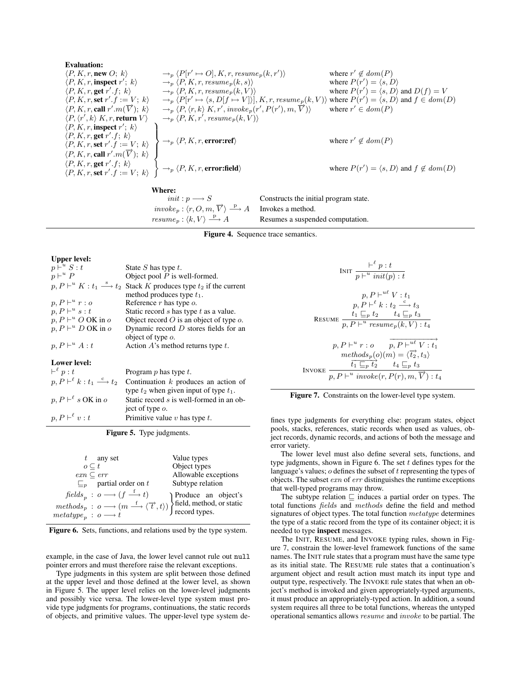| Evaluation:                                                          |                                                                                                                                                                                 |                                                                   |
|----------------------------------------------------------------------|---------------------------------------------------------------------------------------------------------------------------------------------------------------------------------|-------------------------------------------------------------------|
| $\langle P, K, r, \text{new } O; k \rangle$                          | $\rightarrow_{p} \langle P[r' \mapsto O], K, r, \text{resume}_{p}(k, r') \rangle$                                                                                               | where $r' \notin \text{dom}(P)$                                   |
| $\langle P, K, r, \text{respect } r'; k \rangle$                     | $\rightarrow_{p} \langle P, K, r, \text{resume}_{p}(k, s) \rangle$                                                                                                              | where $P(r') = \langle s, D \rangle$                              |
| $\langle P, K, r, \text{set } r', f; k \rangle$                      | $\rightarrow_{p} \langle P, K, r, \text{resume}_{p}(k, V) \rangle$                                                                                                              | where $P(r') = \langle s, D \rangle$ and $D(f) = V$               |
| $\langle P, K, r, \text{set } r', f := V; k \rangle$                 | $\rightarrow_{p} \langle P[r' \mapsto \langle s, D[f \mapsto V] \rangle], K, r, \text{resume}_{p}(k, V) \rangle$ where $P(r') = \langle s, D \rangle$ and $f \in \text{dom}(D)$ |                                                                   |
| $\langle P, K, r, \text{cell } r', m(\overrightarrow{V}); k \rangle$ | $\rightarrow_{p} \langle P, \langle r, k \rangle, K, r', \text{invol}_{p}(r', P(r'), m, \overrightarrow{V}) \rangle$                                                            | where $r' \in \text{dom}(P)$                                      |
| $\langle P, K, r, \text{set } r', f; k \rangle$                      | $\rightarrow_{p} \langle P, K, r, \text{error:ref} \rangle$                                                                                                                     | where $r' \notin \text{dom}(P)$                                   |
| $\langle P, K, r, \text{set } r', f; k \rangle$                      | $\rightarrow_{p} \langle P, K, r, \text{error:ref} \rangle$                                                                                                                     | where $P(r') = \langle s, D \rangle$ and $f \notin \text{dom}(D)$ |
| $\langle P, K, r, \text{set } r$                                     |                                                                                                                                                                                 |                                                                   |

**Where:**<br>*init*:  $p \longrightarrow S$  $invoke_p: \langle r, O, m, \overrightarrow{V} \rangle \stackrel{\text{p}}{\longrightarrow}$  $resume_p: \langle k, V \rangle \stackrel{\text{p}}{\longrightarrow}$ 

Constructs the initial program state. Invokes a method. Resumes a suspended computation.

INV

Figure 4. Sequence trace semantics.

#### Upper level:

 $p, P \vdash^{\ell}$ 

| $p\vdash^u S:t$                                                | State S has type $t$ .                                                                                                               |
|----------------------------------------------------------------|--------------------------------------------------------------------------------------------------------------------------------------|
| $p\vdash^u P$                                                  | Object pool $P$ is well-formed.                                                                                                      |
|                                                                | $p, P \vdash^u K : t_1 \stackrel{s}{\longrightarrow} t_2$ Stack K produces type $t_2$ if the current<br>method produces type $t_1$ . |
| $p, P \vdash^u r : o$                                          | Reference $r$ has type $o$ .                                                                                                         |
| $p, P \vdash^u s : t$                                          | Static record $s$ has type $t$ as a value.                                                                                           |
| $p, P \vdash^u O$ OK in o                                      | Object record $O$ is an object of type $o$ .                                                                                         |
| $p, P \vdash^u D$ OK in o                                      | Dynamic record $D$ stores fields for an                                                                                              |
|                                                                | object of type $o$ .                                                                                                                 |
| $p, P \vdash^u A : t$                                          | Action $A$ 's method returns type $t$ .                                                                                              |
| Lower level:                                                   |                                                                                                                                      |
| $\vdash^{\ell} p : t$                                          | Program $p$ has type $t$ .                                                                                                           |
| $p, P \vdash^{\ell} k : t_1 \stackrel{c}{\longrightarrow} t_2$ | Continuation $k$ produces an action of                                                                                               |
|                                                                | type $t_2$ when given input of type $t_1$ .                                                                                          |
| $p, P \vdash^{\ell} s \text{ OK in } o$                        | Static record s is well-formed in an ob-<br>ject of type $o$ .                                                                       |

Primitive value  $v$  has type  $t$ .

Figure 5. Type judgments.

| $t$ any set                                                                                                                                                                                                                                                                                                                                                                                                                                             | Value types          |
|---------------------------------------------------------------------------------------------------------------------------------------------------------------------------------------------------------------------------------------------------------------------------------------------------------------------------------------------------------------------------------------------------------------------------------------------------------|----------------------|
| $o\subseteq t$                                                                                                                                                                                                                                                                                                                                                                                                                                          | Object types         |
| $exn \subset err$                                                                                                                                                                                                                                                                                                                                                                                                                                       | Allowable exceptions |
| $\mathbb{E}_p$ partial order on t                                                                                                                                                                                                                                                                                                                                                                                                                       | Subtype relation     |
| $\begin{array}{lll} & \text{pounds}_p\; : \; o \longrightarrow (f \longrightarrow t) \\ & \text{methods}_p\; : \; o \longrightarrow (m \stackrel{f}{\longrightarrow} \langle \overrightarrow{t}, t \rangle) \\ & \text{method, or static} \\ \text{metatype}_p\; : \; o \longrightarrow t \end{array} \bigg\} \begin{array}{ll} \text{Product} & \text{an} \;\; \text{object's} \\ \text{field, method, or static} \\ \text{record types.} \end{array}$ |                      |
|                                                                                                                                                                                                                                                                                                                                                                                                                                                         |                      |
|                                                                                                                                                                                                                                                                                                                                                                                                                                                         |                      |

Figure 6. Sets, functions, and relations used by the type system.

example, in the case of Java, the lower level cannot rule out null pointer errors and must therefore raise the relevant exceptions.

Type judgments in this system are split between those defined at the upper level and those defined at the lower level, as shown in Figure 5. The upper level relies on the lower-level judgments and possibly vice versa. The lower-level type system must provide type judgments for programs, continuations, the static records of objects, and primitive values. The upper-level type system de-

$$
\text{INIT } \frac{\vdash^{\ell} p : t}{p \vdash^u \text{ init}(p) : t}
$$
\n
$$
p, P \vdash^{\text{ul}} V : t_1
$$
\n
$$
p, P \vdash^{\ell} k : t_2 \xrightarrow{\text{cl}} t_3
$$
\n
$$
\text{RESULT } \frac{t_1 \sqsubseteq_p t_2 \qquad t_4 \sqsubseteq_p t_3}{p, P \vdash^u \text{ resume}_p(k, V) : t_4}
$$
\n
$$
p, P \vdash^u r : o \qquad p, P \vdash^{\text{ul}} V : t_1
$$
\n
$$
\text{methods}_p(o)(m) = \langle \overline{t_2}, t_3 \rangle
$$
\n
$$
\text{VOKE } \frac{\overline{t_1 \sqsubseteq_p t_2}}{p, P \vdash^u \text{ invoke}(r, P(r), m, \overline{V}) : t_4}
$$

|  | Figure 7. Constraints on the lower-level type system. |  |  |  |
|--|-------------------------------------------------------|--|--|--|
|--|-------------------------------------------------------|--|--|--|

fines type judgments for everything else: program states, object pools, stacks, references, static records when used as values, object records, dynamic records, and actions of both the message and error variety.

The lower level must also define several sets, functions, and type judgments, shown in Figure 6. The set  $t$  defines types for the language's values; o defines the subset of t representing the types of objects. The subset exn of err distinguishes the runtime exceptions that well-typed programs may throw.

The subtype relation  $\sqsubseteq$  induces a partial order on types. The total functions fields and methods define the field and method signatures of object types. The total function metatype determines the type of a static record from the type of its container object; it is needed to type inspect messages.

The INIT, RESUME, and INVOKE typing rules, shown in Figure 7, constrain the lower-level framework functions of the same names. The INIT rule states that a program must have the same type as its initial state. The RESUME rule states that a continuation's argument object and result action must match its input type and output type, respectively. The INVOKE rule states that when an object's method is invoked and given appropriately-typed arguments, it must produce an appropriately-typed action. In addition, a sound system requires all three to be total functions, whereas the untyped operational semantics allows resume and invoke to be partial. The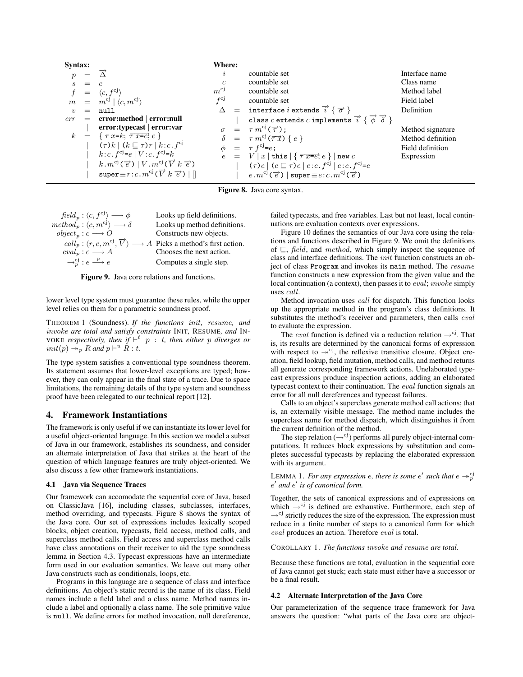| Syntax:             |     |                                                                                               | Where:           |                                                                                            |                   |
|---------------------|-----|-----------------------------------------------------------------------------------------------|------------------|--------------------------------------------------------------------------------------------|-------------------|
|                     |     |                                                                                               | $\mathcal{L}$    | countable set                                                                              | Interface name    |
| S                   | $=$ | $\overline{c}$                                                                                | $\boldsymbol{c}$ | countable set                                                                              | Class name        |
|                     | $=$ | $\langle c, f^{\text{cj}} \rangle$                                                            | $m^{cj}$         | countable set                                                                              | Method label      |
|                     |     | $m = m^{cj}   \langle c, m^{cj} \rangle$                                                      | $f^{c}$          | countable set                                                                              | Field label       |
| $\boldsymbol{\eta}$ | $=$ | null                                                                                          |                  | $\Delta$ = interface <i>i</i> extends $\overrightarrow{i}$ { $\overrightarrow{\sigma}$ }   | Definition        |
| err                 |     | $=$ error:method   error:null                                                                 |                  | class c extends c implements $\vec{i}$ { $\vec{\phi}$ $\vec{\delta}$ }                     |                   |
|                     |     | error:typecast   error:var                                                                    |                  | $\sigma = \tau m^{cj}(\vec{\tau});$                                                        | Method signature  |
|                     |     | $k = \{\tau \ x = k; \ \overline{\tau} \ \overline{x} = e^2; e\}$                             |                  | $\delta = \tau m^{cj}(\overrightarrow{\tau x}) \{e\}$                                      | Method definition |
|                     |     | $(\tau) k \mid (k \sqsubseteq \tau) r \mid k : c \, . \, f^{cj}$                              |                  | $\phi = \tau f^{cj} = e;$                                                                  | Field definition  |
|                     |     | k:c.f <sup>cj</sup> =e   V:c.f <sup>cj</sup> =k                                               |                  | $e = V  x $ this $\{\overline{\tau} \overline{x} = e, e\}$ new c                           | Expression        |
|                     |     | $k \cdot m^{cj}(\vec{e}) \mid V \cdot m^{cj}(\vec{V} \mid \vec{e})$                           |                  | $(\tau) e \mid (c \sqsubseteq \tau) e \mid e : c \cdot f^{cj} \mid e : c \cdot f^{cj} = e$ |                   |
|                     |     | super $\equiv r : c \cdot m^{cj}(\overrightarrow{V} \cdot \overrightarrow{e}) \mid \parallel$ |                  | $e.m^{cj}(\overrightarrow{e})$   super $\equiv e:c.m^{cj}(\overrightarrow{e})$             |                   |

Figure 8. Java core syntax.

| $field_p: \langle c, f^{cj} \rangle \longrightarrow \phi$    | Looks up field definitions.                                                                                         |
|--------------------------------------------------------------|---------------------------------------------------------------------------------------------------------------------|
| $method_p: \langle c, m^{cj} \rangle \longrightarrow \delta$ | Looks up method definitions.                                                                                        |
| $object_n : c \longrightarrow O$                             | Constructs new objects.                                                                                             |
|                                                              | $\text{call}_p : \langle r, c, m^{cj}, \overrightarrow{V} \rangle \longrightarrow A$ Picks a method's first action. |
| $eval_p : e \longrightarrow A$                               | Chooses the next action.                                                                                            |
| $\rightarrow_p^{cj} : e \xrightarrow{p} e$                   | Computes a single step.                                                                                             |

Figure 9. Java core relations and functions.

lower level type system must guarantee these rules, while the upper level relies on them for a parametric soundness proof.

THEOREM 1 (Soundness). *If the functions* init*,* resume*, and* invoke *are total and satisfy constraints* INIT*,* RESUME*, and* IN-VOKE *respectively, then* if  $\vdash^{\ell} p : t$ , then either p diverges or  $init(p) \rightarrow_{p} R$  and  $p \vdash^{u} R : t$ .

The type system satisfies a conventional type soundness theorem. Its statement assumes that lower-level exceptions are typed; however, they can only appear in the final state of a trace. Due to space limitations, the remaining details of the type system and soundness proof have been relegated to our technical report [12].

#### 4. Framework Instantiations

The framework is only useful if we can instantiate its lower level for a useful object-oriented language. In this section we model a subset of Java in our framework, establishes its soundness, and consider an alternate interpretation of Java that strikes at the heart of the question of which language features are truly object-oriented. We also discuss a few other framework instantiations.

#### 4.1 Java via Sequence Traces

Our framework can accomodate the sequential core of Java, based on ClassicJava [16], including classes, subclasses, interfaces, method overriding, and typecasts. Figure 8 shows the syntax of the Java core. Our set of expressions includes lexically scoped blocks, object creation, typecasts, field access, method calls, and superclass method calls. Field access and superclass method calls have class annotations on their receiver to aid the type soundness lemma in Section 4.3. Typecast expressions have an intermediate form used in our evaluation semantics. We leave out many other Java constructs such as conditionals, loops, etc.

Programs in this language are a sequence of class and interface definitions. An object's static record is the name of its class. Field names include a field label and a class name. Method names include a label and optionally a class name. The sole primitive value is null. We define errors for method invocation, null dereference,

failed typecasts, and free variables. Last but not least, local continuations are evaluation contexts over expressions.

Figure 10 defines the semantics of our Java core using the relations and functions described in Figure 9. We omit the definitions of  $\sqsubseteq$ , *field*, and *method*, which simply inspect the sequence of class and interface definitions. The init function constructs an object of class Program and invokes its main method. The resume function constructs a new expression from the given value and the local continuation (a context), then passes it to *eval*; *invoke* simply uses call.

Method invocation uses call for dispatch. This function looks up the appropriate method in the program's class definitions. It substitutes the method's receiver and parameters, then calls eval to evaluate the expression.

The *eval* function is defined via a reduction relation  $\rightarrow$ <sup>cj</sup>. That is, its results are determined by the canonical forms of expression with respect to  $\rightarrow$ <sup>cj</sup>, the reflexive transitive closure. Object creation, field lookup, field mutation, method calls, and method returns all generate corresponding framework actions. Unelaborated typecast expressions produce inspection actions, adding an elaborated typecast context to their continuation. The eval function signals an error for all null dereferences and typecast failures.

Calls to an object's superclass generate method call actions; that is, an externally visible message. The method name includes the superclass name for method dispatch, which distinguishes it from the current definition of the method.

The step relation  $(\rightarrow^{\text{cj}})$  performs all purely object-internal computations. It reduces block expressions by substitution and completes successful typecasts by replacing the elaborated expression with its argument.

## LEMMA 1. *For any expression e, there is some e' such that*  $e \rightarrow_p^{\text{c}} p$  $e'$  and  $e'$  is of canonical form.

Together, the sets of canonical expressions and of expressions on which  $\rightarrow$ <sup>cj</sup> is defined are exhaustive. Furthermore, each step of  $\rightarrow$ <sup>cj</sup> strictly reduces the size of the expression. The expression must reduce in a finite number of steps to a canonical form for which eval produces an action. Therefore eval is total.

COROLLARY 1. *The functions* invoke *and* resume *are total.*

Because these functions are total, evaluation in the sequential core of Java cannot get stuck; each state must either have a successor or be a final result.

#### 4.2 Alternate Interpretation of the Java Core

Our parameterization of the sequence trace framework for Java answers the question: "what parts of the Java core are object-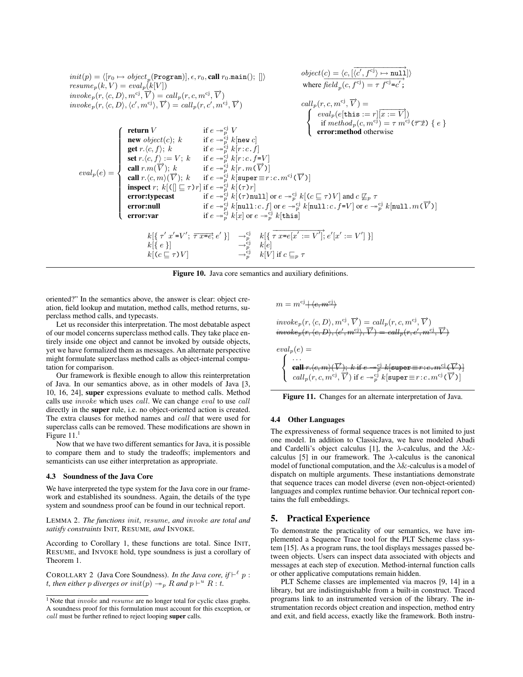

Figure 10. Java core semantics and auxiliary definitions.

oriented?" In the semantics above, the answer is clear: object creation, field lookup and mutation, method calls, method returns, superclass method calls, and typecasts.

Let us reconsider this interpretation. The most debatable aspect of our model concerns superclass method calls. They take place entirely inside one object and cannot be invoked by outside objects, yet we have formalized them as messages. An alternate perspective might formulate superclass method calls as object-internal computation for comparison.

Our framework is flexible enough to allow this reinterpretation of Java. In our semantics above, as in other models of Java [3, 10, 16, 24], super expressions evaluate to method calls. Method calls use invoke which uses call. We can change eval to use call directly in the super rule, i.e. no object-oriented action is created. The extra clauses for method names and call that were used for superclass calls can be removed. These modifications are shown in Figure  $11<sup>1</sup>$ 

Now that we have two different semantics for Java, it is possible to compare them and to study the tradeoffs; implementors and semanticists can use either interpretation as appropriate.

#### 4.3 Soundness of the Java Core

We have interpreted the type system for the Java core in our framework and established its soundness. Again, the details of the type system and soundness proof can be found in our technical report.

LEMMA 2. *The functions* init*,* resume*, and* invoke *are total and satisfy constraints* INIT*,* RESUME*, and* INVOKE*.*

According to Corollary 1, these functions are total. Since INIT, RESUME, and INVOKE hold, type soundness is just a corollary of Theorem 1.

COROLLARY 2 (Java Core Soundness). *In the Java core, if*  $\vdash^{\ell} p$ : *t*, then either p diverges or  $init(p) \rightarrow_{p} R$  and  $p \vdash^{u} R : t$ .

$$
m = m^{cj} + \langle e, m^{cj} \rangle
$$

 $involep(r, \langle c, D \rangle, m^{cj}, \overrightarrow{V}) = \text{call}_p(r, c, m^{cj}, \overrightarrow{V})$  $invoke_p(r, \langle e, D \rangle, \langle e', m^{cj}, \overrightarrow{V}) = call_p(r, e', m^{cj}, \overrightarrow{V})$ 

$$
eval_p(e) = \begin{cases}\n\cdots \\
\text{call } r \cdot \langle e, m \rangle \langle \overrightarrow{V} \rangle; \ k \text{ if } e \rightarrow_p^{cj} k[\text{super} \equiv r : e \cdot m^{cj} \langle \overrightarrow{V} \rangle] \\
\text{call } r \cdot \langle e, m^{cj} \rangle \overrightarrow{V} \text{ if } e \rightarrow_p^{cj} k[\text{super} \equiv r : c \cdot m^{cj} \langle \overrightarrow{V} \rangle]\n\end{cases}
$$



#### 4.4 Other Languages

The expressiveness of formal sequence traces is not limited to just one model. In addition to ClassicJava, we have modeled Abadi and Cardelli's object calculus [1], the  $\lambda$ -calculus, and the  $\lambda \&$ calculus [5] in our framework. The  $\lambda$ -calculus is the canonical model of functional computation, and the  $\lambda \&$ -calculus is a model of dispatch on multiple arguments. These instantiations demonstrate that sequence traces can model diverse (even non-object-oriented) languages and complex runtime behavior. Our technical report contains the full embeddings.

## 5. Practical Experience

To demonstrate the practicality of our semantics, we have implemented a Sequence Trace tool for the PLT Scheme class system [15]. As a program runs, the tool displays messages passed between objects. Users can inspect data associated with objects and messages at each step of execution. Method-internal function calls or other applicative computations remain hidden.

PLT Scheme classes are implemented via macros [9, 14] in a library, but are indistinguishable from a built-in construct. Traced programs link to an instrumented version of the library. The instrumentation records object creation and inspection, method entry and exit, and field access, exactly like the framework. Both instru-

<sup>&</sup>lt;sup>1</sup> Note that  $invoke$  and  $resume$  are no longer total for cyclic class graphs. A soundness proof for this formulation must account for this exception, or call must be further refined to reject looping super calls.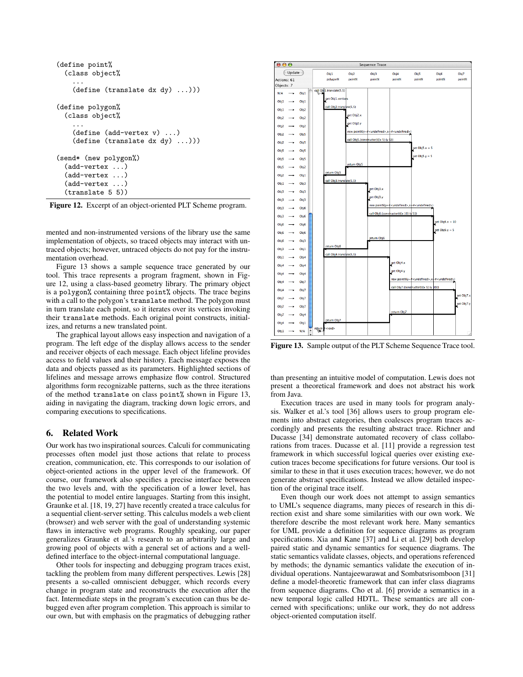```
(define point%
  (class object%
    ...
    (define (translate dx dy) ...)))
(define polygon%
  (class object%
    ...
    (define (add-vertex v) ...)
    (define (translate dx dy) ...)))
(send* (new polygon%)
  (add-vertex ...)
  (add-vertex ...)
  (add-vertex ...)
  (translate 5 5))
```
Figure 12. Excerpt of an object-oriented PLT Scheme program.

mented and non-instrumented versions of the library use the same implementation of objects, so traced objects may interact with untraced objects; however, untraced objects do not pay for the instrumentation overhead.

Figure 13 shows a sample sequence trace generated by our tool. This trace represents a program fragment, shown in Figure 12, using a class-based geometry library. The primary object is a polygon% containing three point% objects. The trace begins with a call to the polygon's translate method. The polygon must in turn translate each point, so it iterates over its vertices invoking their translate methods. Each original point constructs, initializes, and returns a new translated point.

The graphical layout allows easy inspection and navigation of a program. The left edge of the display allows access to the sender and receiver objects of each message. Each object lifeline provides access to field values and their history. Each message exposes the data and objects passed as its parameters. Highlighted sections of lifelines and message arrows emphasize flow control. Structured algorithms form recognizable patterns, such as the three iterations of the method translate on class point% shown in Figure 13, aiding in navigating the diagram, tracking down logic errors, and comparing executions to specifications.

## 6. Related Work

Our work has two inspirational sources. Calculi for communicating processes often model just those actions that relate to process creation, communication, etc. This corresponds to our isolation of object-oriented actions in the upper level of the framework. Of course, our framework also specifies a precise interface between the two levels and, with the specification of a lower level, has the potential to model entire languages. Starting from this insight, Graunke et al. [18, 19, 27] have recently created a trace calculus for a sequential client-server setting. This calculus models a web client (browser) and web server with the goal of understanding systemic flaws in interactive web programs. Roughly speaking, our paper generalizes Graunke et al.'s research to an arbitrarily large and growing pool of objects with a general set of actions and a welldefined interface to the object-internal computational language.

Other tools for inspecting and debugging program traces exist, tackling the problem from many different perspectives. Lewis [28] presents a so-called omniscient debugger, which records every change in program state and reconstructs the execution after the fact. Intermediate steps in the program's execution can thus be debugged even after program completion. This approach is similar to our own, but with emphasis on the pragmatics of debugging rather



Figure 13. Sample output of the PLT Scheme Sequence Trace tool.

than presenting an intuitive model of computation. Lewis does not present a theoretical framework and does not abstract his work from Java.

Execution traces are used in many tools for program analysis. Walker et al.'s tool [36] allows users to group program elements into abstract categories, then coalesces program traces accordingly and presents the resulting abstract trace. Richner and Ducasse [34] demonstrate automated recovery of class collaborations from traces. Ducasse et al. [11] provide a regression test framework in which successful logical queries over existing execution traces become specifications for future versions. Our tool is similar to these in that it uses execution traces; however, we do not generate abstract specifications. Instead we allow detailed inspection of the original trace itself.

Even though our work does not attempt to assign semantics to UML's sequence diagrams, many pieces of research in this direction exist and share some similarities with our own work. We therefore describe the most relevant work here. Many semantics for UML provide a definition for sequence diagrams as program specifications. Xia and Kane [37] and Li et al. [29] both develop paired static and dynamic semantics for sequence diagrams. The static semantics validate classes, objects, and operations referenced by methods; the dynamic semantics validate the execution of individual operations. Nantajeewarawat and Sombatsrisomboon [31] define a model-theoretic framework that can infer class diagrams from sequence diagrams. Cho et al. [6] provide a semantics in a new temporal logic called HDTL. These semantics are all concerned with specifications; unlike our work, they do not address object-oriented computation itself.